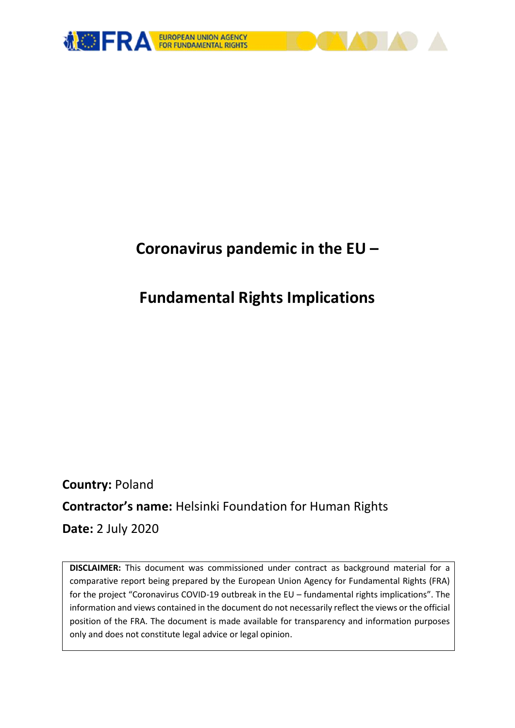

## **Coronavirus pandemic in the EU –**

# **Fundamental Rights Implications**

**Country:** Poland **Contractor's name:** Helsinki Foundation for Human Rights **Date:** 2 July 2020

**DISCLAIMER:** This document was commissioned under contract as background material for a comparative report being prepared by the European Union Agency for Fundamental Rights (FRA) for the project "Coronavirus COVID-19 outbreak in the EU – fundamental rights implications". The information and views contained in the document do not necessarily reflect the views or the official position of the FRA. The document is made available for transparency and information purposes only and does not constitute legal advice or legal opinion.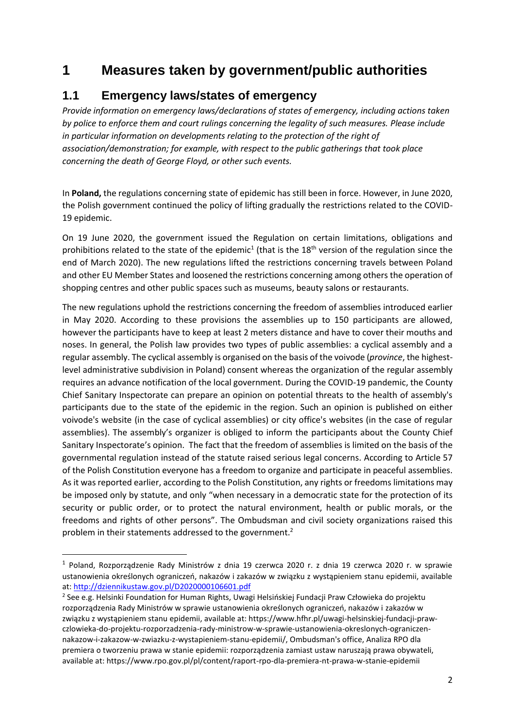## **1 Measures taken by government/public authorities**

## **1.1 Emergency laws/states of emergency**

*Provide information on emergency laws/declarations of states of emergency, including actions taken by police to enforce them and court rulings concerning the legality of such measures. Please include in particular information on developments relating to the protection of the right of association/demonstration; for example, with respect to the public gatherings that took place concerning the death of George Floyd, or other such events.*

In **Poland,** the regulations concerning state of epidemic has still been in force. However, in June 2020, the Polish government continued the policy of lifting gradually the restrictions related to the COVID-19 epidemic.

On 19 June 2020, the government issued the Regulation on certain limitations, obligations and prohibitions related to the state of the epidemic<sup>1</sup> (that is the 18<sup>th</sup> version of the regulation since the end of March 2020). The new regulations lifted the restrictions concerning travels between Poland and other EU Member States and loosened the restrictions concerning among others the operation of shopping centres and other public spaces such as museums, beauty salons or restaurants.

The new regulations uphold the restrictions concerning the freedom of assemblies introduced earlier in May 2020. According to these provisions the assemblies up to 150 participants are allowed, however the participants have to keep at least 2 meters distance and have to cover their mouths and noses. In general, the Polish law provides two types of public assemblies: a cyclical assembly and a regular assembly. The cyclical assembly is organised on the basis of the voivode (*province*, the highestlevel administrative subdivision in Poland) consent whereas the organization of the regular assembly requires an advance notification of the local government. During the COVID-19 pandemic, the County Chief Sanitary Inspectorate can prepare an opinion on potential threats to the health of assembly's participants due to the state of the epidemic in the region. Such an opinion is published on either voivode's website (in the case of cyclical assemblies) or city office's websites (in the case of regular assemblies). The assembly's organizer is obliged to inform the participants about the County Chief Sanitary Inspectorate's opinion. The fact that the freedom of assemblies is limited on the basis of the governmental regulation instead of the statute raised serious legal concerns. According to Article 57 of the Polish Constitution everyone has a freedom to organize and participate in peaceful assemblies. As it was reported earlier, according to the Polish Constitution, any rights or freedoms limitations may be imposed only by statute, and only "when necessary in a democratic state for the protection of its security or public order, or to protect the natural environment, health or public morals, or the freedoms and rights of other persons". The Ombudsman and civil society organizations raised this problem in their statements addressed to the government.<sup>2</sup>

**.** 

<sup>&</sup>lt;sup>1</sup> Poland, Rozporządzenie Rady Ministrów z dnia 19 czerwca 2020 r. z dnia 19 czerwca 2020 r. w sprawie ustanowienia określonych ograniczeń, nakazów i zakazów w związku z wystąpieniem stanu epidemii, available at:<http://dziennikustaw.gov.pl/D2020000106601.pdf>

<sup>2</sup> See e.g. Helsinki Foundation for Human Rights, Uwagi Helsińskiej Fundacji Praw Człowieka do projektu rozporządzenia Rady Ministrów w sprawie ustanowienia określonych ograniczeń, nakazów i zakazów w związku z wystąpieniem stanu epidemii, available at: https://www.hfhr.pl/uwagi-helsinskiej-fundacji-prawczlowieka-do-projektu-rozporzadzenia-rady-ministrow-w-sprawie-ustanowienia-okreslonych-ograniczennakazow-i-zakazow-w-zwiazku-z-wystapieniem-stanu-epidemii/, Ombudsman's office, Analiza RPO dla premiera o tworzeniu prawa w stanie epidemii: rozporządzenia zamiast ustaw naruszają prawa obywateli, available at: https://www.rpo.gov.pl/pl/content/raport-rpo-dla-premiera-nt-prawa-w-stanie-epidemii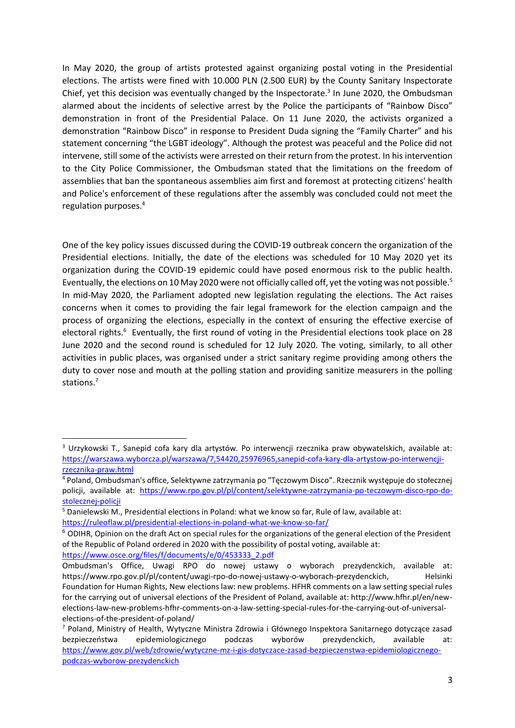In May 2020, the group of artists protested against organizing postal voting in the Presidential elections. The artists were fined with 10.000 PLN (2.500 EUR) by the County Sanitary Inspectorate Chief, yet this decision was eventually changed by the Inspectorate.<sup>3</sup> In June 2020, the Ombudsman alarmed about the incidents of selective arrest by the Police the participants of "Rainbow Disco" demonstration in front of the Presidential Palace. On 11 June 2020, the activists organized a demonstration "Rainbow Disco" in response to President Duda signing the "Family Charter" and his statement concerning "the LGBT ideology". Although the protest was peaceful and the Police did not intervene, still some of the activists were arrested on their return from the protest. In his intervention to the City Police Commissioner, the Ombudsman stated that the limitations on the freedom of assemblies that ban the spontaneous assemblies aim first and foremost at protecting citizens' health and Police's enforcement of these regulations after the assembly was concluded could not meet the regulation purposes.<sup>4</sup>

One of the key policy issues discussed during the COVID-19 outbreak concern the organization of the Presidential elections. Initially, the date of the elections was scheduled for 10 May 2020 yet its organization during the COVID-19 epidemic could have posed enormous risk to the public health. Eventually, the elections on 10 May 2020 were not officially called off, yet the voting was not possible.<sup>5</sup> In mid-May 2020, the Parliament adopted new legislation regulating the elections. The Act raises concerns when it comes to providing the fair legal framework for the election campaign and the process of organizing the elections, especially in the context of ensuring the effective exercise of electoral rights.<sup>6</sup> Eventually, the first round of voting in the Presidential elections took place on 28 June 2020 and the second round is scheduled for 12 July 2020. The voting, similarly, to all other activities in public places, was organised under a strict sanitary regime providing among others the duty to cover nose and mouth at the polling station and providing sanitize measurers in the polling stations.<sup>7</sup>

[https://www.osce.org/files/f/documents/e/0/453333\\_2.pdf](https://www.osce.org/files/f/documents/e/0/453333_2.pdf)

1

<sup>3</sup> Urzykowski T., Sanepid cofa kary dla artystów. Po interwencji rzecznika praw obywatelskich, available at: [https://warszawa.wyborcza.pl/warszawa/7,54420,25976965,sanepid-cofa-kary-dla-artystow-po-interwencji](https://warszawa.wyborcza.pl/warszawa/7,54420,25976965,sanepid-cofa-kary-dla-artystow-po-interwencji-rzecznika-praw.html)[rzecznika-praw.html](https://warszawa.wyborcza.pl/warszawa/7,54420,25976965,sanepid-cofa-kary-dla-artystow-po-interwencji-rzecznika-praw.html)

<sup>&</sup>lt;sup>4</sup> Poland, Ombudsman's office, Selektywne zatrzymania po "Tęczowym Disco". Rzecznik występuje do stołecznej policji, available at: [https://www.rpo.gov.pl/pl/content/selektywne-zatrzymania-po-teczowym-disco-rpo-do](https://www.rpo.gov.pl/pl/content/selektywne-zatrzymania-po-teczowym-disco-rpo-do-stolecznej-policji)[stolecznej-policji](https://www.rpo.gov.pl/pl/content/selektywne-zatrzymania-po-teczowym-disco-rpo-do-stolecznej-policji)

<sup>5</sup> Danielewski M., Presidential elections in Poland: what we know so far, Rule of law, available at: <https://ruleoflaw.pl/presidential-elections-in-poland-what-we-know-so-far/>

<sup>6</sup> ODIHR, Opinion on the draft Act on special rules for the organizations of the general election of the President of the Republic of Poland ordered in 2020 with the possibility of postal voting, available at:

Ombudsman's Office, Uwagi RPO do nowej ustawy o wyborach prezydenckich, available at: https://www.rpo.gov.pl/pl/content/uwagi-rpo-do-nowej-ustawy-o-wyborach-prezydenckich, Helsinki Foundation for Human Rights, New elections law: new problems. HFHR comments on a law setting special rules for the carrying out of universal elections of the President of Poland, available at: http://www.hfhr.pl/en/newelections-law-new-problems-hfhr-comments-on-a-law-setting-special-rules-for-the-carrying-out-of-universalelections-of-the-president-of-poland/

<sup>7</sup> Poland, Ministry of Health, Wytyczne Ministra Zdrowia i Głównego Inspektora Sanitarnego dotyczące zasad bezpieczeństwa epidemiologicznego podczas wyborów prezydenckich, available at: [https://www.gov.pl/web/zdrowie/wytyczne-mz-i-gis-dotyczace-zasad-bezpieczenstwa-epidemiologicznego](https://www.gov.pl/web/zdrowie/wytyczne-mz-i-gis-dotyczace-zasad-bezpieczenstwa-epidemiologicznego-podczas-wyborow-prezydenckich)[podczas-wyborow-prezydenckich](https://www.gov.pl/web/zdrowie/wytyczne-mz-i-gis-dotyczace-zasad-bezpieczenstwa-epidemiologicznego-podczas-wyborow-prezydenckich)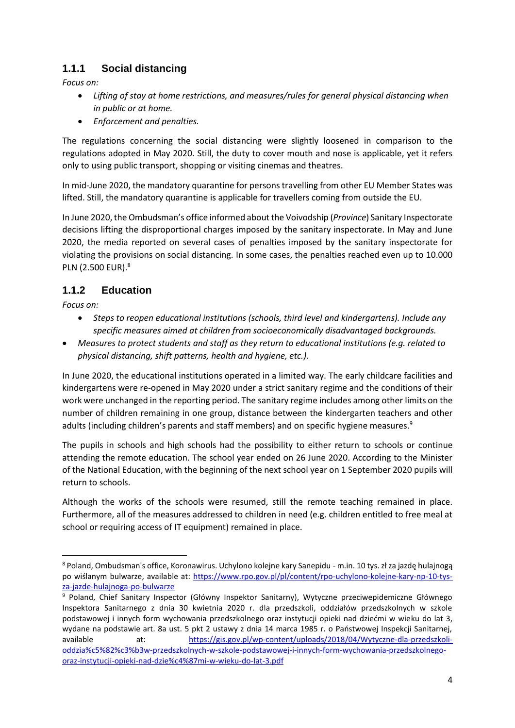#### **1.1.1 Social distancing**

*Focus on:* 

- *Lifting of stay at home restrictions, and measures/rules for general physical distancing when in public or at home.*
- *Enforcement and penalties.*

The regulations concerning the social distancing were slightly loosened in comparison to the regulations adopted in May 2020. Still, the duty to cover mouth and nose is applicable, yet it refers only to using public transport, shopping or visiting cinemas and theatres.

In mid-June 2020, the mandatory quarantine for persons travelling from other EU Member States was lifted. Still, the mandatory quarantine is applicable for travellers coming from outside the EU.

In June 2020, the Ombudsman's office informed about the Voivodship (*Province*) Sanitary Inspectorate decisions lifting the disproportional charges imposed by the sanitary inspectorate. In May and June 2020, the media reported on several cases of penalties imposed by the sanitary inspectorate for violating the provisions on social distancing. In some cases, the penalties reached even up to 10.000 PLN (2.500 EUR).<sup>8</sup>

#### **1.1.2 Education**

*Focus on:*

1

- *Steps to reopen educational institutions (schools, third level and kindergartens). Include any specific measures aimed at children from socioeconomically disadvantaged backgrounds.*
- *Measures to protect students and staff as they return to educational institutions (e.g. related to physical distancing, shift patterns, health and hygiene, etc.).*

In June 2020, the educational institutions operated in a limited way. The early childcare facilities and kindergartens were re-opened in May 2020 under a strict sanitary regime and the conditions of their work were unchanged in the reporting period. The sanitary regime includes among other limits on the number of children remaining in one group, distance between the kindergarten teachers and other adults (including children's parents and staff members) and on specific hygiene measures.<sup>9</sup>

The pupils in schools and high schools had the possibility to either return to schools or continue attending the remote education. The school year ended on 26 June 2020. According to the Minister of the National Education, with the beginning of the next school year on 1 September 2020 pupils will return to schools.

Although the works of the schools were resumed, still the remote teaching remained in place. Furthermore, all of the measures addressed to children in need (e.g. children entitled to free meal at school or requiring access of IT equipment) remained in place.

<sup>8</sup> Poland, Ombudsman's office, Koronawirus. Uchylono kolejne kary Sanepidu - m.in. 10 tys. zł za jazdę hulajnogą po wiślanym bulwarze, available at: [https://www.rpo.gov.pl/pl/content/rpo-uchylono-kolejne-kary-np-10-tys](https://www.rpo.gov.pl/pl/content/rpo-uchylono-kolejne-kary-np-10-tys-za-jazde-hulajnoga-po-bulwarze)[za-jazde-hulajnoga-po-bulwarze](https://www.rpo.gov.pl/pl/content/rpo-uchylono-kolejne-kary-np-10-tys-za-jazde-hulajnoga-po-bulwarze)

<sup>9</sup> Poland, Chief Sanitary Inspector (Główny Inspektor Sanitarny), Wytyczne przeciwepidemiczne Głównego Inspektora Sanitarnego z dnia 30 kwietnia 2020 r. dla przedszkoli, oddziałów przedszkolnych w szkole podstawowej i innych form wychowania przedszkolnego oraz instytucji opieki nad dziećmi w wieku do lat 3, wydane na podstawie art. 8a ust. 5 pkt 2 ustawy z dnia 14 marca 1985 r. o Państwowej Inspekcji Sanitarnej, available at: [https://gis.gov.pl/wp-content/uploads/2018/04/Wytyczne-dla-przedszkoli](https://gis.gov.pl/wp-content/uploads/2018/04/Wytyczne-dla-przedszkoli-oddzia%c5%82%c3%b3w-przedszkolnych-w-szkole-podstawowej-i-innych-form-wychowania-przedszkolnego-oraz-instytucji-opieki-nad-dzie%c4%87mi-w-wieku-do-lat-3.pdf)[oddzia%c5%82%c3%b3w-przedszkolnych-w-szkole-podstawowej-i-innych-form-wychowania-przedszkolnego](https://gis.gov.pl/wp-content/uploads/2018/04/Wytyczne-dla-przedszkoli-oddzia%c5%82%c3%b3w-przedszkolnych-w-szkole-podstawowej-i-innych-form-wychowania-przedszkolnego-oraz-instytucji-opieki-nad-dzie%c4%87mi-w-wieku-do-lat-3.pdf)[oraz-instytucji-opieki-nad-dzie%c4%87mi-w-wieku-do-lat-3.pdf](https://gis.gov.pl/wp-content/uploads/2018/04/Wytyczne-dla-przedszkoli-oddzia%c5%82%c3%b3w-przedszkolnych-w-szkole-podstawowej-i-innych-form-wychowania-przedszkolnego-oraz-instytucji-opieki-nad-dzie%c4%87mi-w-wieku-do-lat-3.pdf)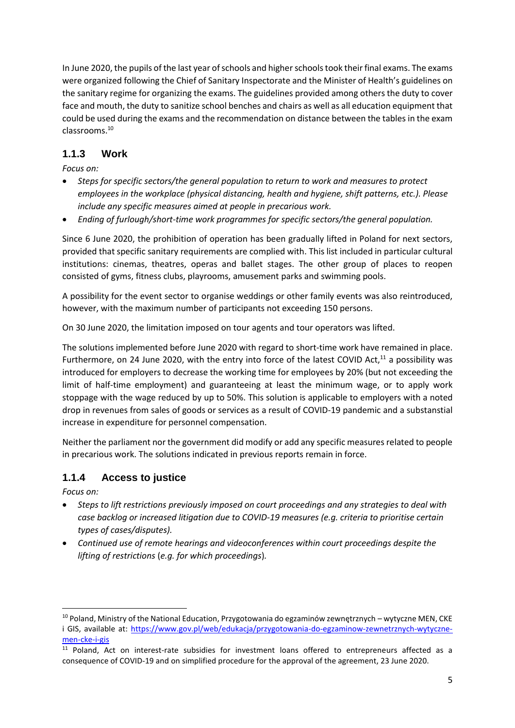In June 2020, the pupils of the last year of schools and higher schools took their final exams. The exams were organized following the Chief of Sanitary Inspectorate and the Minister of Health's guidelines on the sanitary regime for organizing the exams. The guidelines provided among others the duty to cover face and mouth, the duty to sanitize school benches and chairs as well as all education equipment that could be used during the exams and the recommendation on distance between the tables in the exam classrooms.<sup>10</sup>

#### **1.1.3 Work**

*Focus on:* 

- *Steps for specific sectors/the general population to return to work and measures to protect employees in the workplace (physical distancing, health and hygiene, shift patterns, etc.). Please include any specific measures aimed at people in precarious work.*
- *Ending of furlough/short-time work programmes for specific sectors/the general population.*

Since 6 June 2020, the prohibition of operation has been gradually lifted in Poland for next sectors, provided that specific sanitary requirements are complied with. This list included in particular cultural institutions: cinemas, theatres, operas and ballet stages. The other group of places to reopen consisted of gyms, fitness clubs, playrooms, amusement parks and swimming pools.

A possibility for the event sector to organise weddings or other family events was also reintroduced, however, with the maximum number of participants not exceeding 150 persons.

On 30 June 2020, the limitation imposed on tour agents and tour operators was lifted.

The solutions implemented before June 2020 with regard to short-time work have remained in place. Furthermore, on 24 June 2020, with the entry into force of the latest COVID Act, $^{11}$  a possibility was introduced for employers to decrease the working time for employees by 20% (but not exceeding the limit of half-time employment) and guaranteeing at least the minimum wage, or to apply work stoppage with the wage reduced by up to 50%. This solution is applicable to employers with a noted drop in revenues from sales of goods or services as a result of COVID-19 pandemic and a substanstial increase in expenditure for personnel compensation.

Neither the parliament nor the government did modify or add any specific measures related to people in precarious work. The solutions indicated in previous reports remain in force.

#### **1.1.4 Access to justice**

*Focus on:* 

**.** 

- *Steps to lift restrictions previously imposed on court proceedings and any strategies to deal with case backlog or increased litigation due to COVID-19 measures (e.g. criteria to prioritise certain types of cases/disputes).*
- *Continued use of remote hearings and videoconferences within court proceedings despite the lifting of restrictions* (*e.g. for which proceedings*)*.*

<sup>&</sup>lt;sup>10</sup> Poland, Ministry of the National Education, Przygotowania do egzaminów zewnętrznych – wytyczne MEN, CKE i GIS, available at: [https://www.gov.pl/web/edukacja/przygotowania-do-egzaminow-zewnetrznych-wytyczne](https://www.gov.pl/web/edukacja/przygotowania-do-egzaminow-zewnetrznych-wytyczne-men-cke-i-gis)[men-cke-i-gis](https://www.gov.pl/web/edukacja/przygotowania-do-egzaminow-zewnetrznych-wytyczne-men-cke-i-gis)

<sup>&</sup>lt;sup>11</sup> Poland, Act on interest-rate subsidies for investment loans offered to entrepreneurs affected as a consequence of COVID-19 and on simplified procedure for the approval of the agreement, 23 June 2020.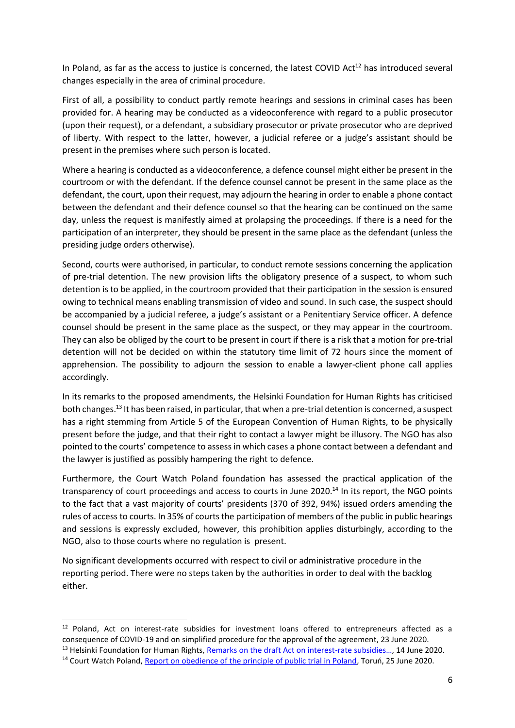In Poland, as far as the access to justice is concerned, the latest COVID Act<sup>12</sup> has introduced several changes especially in the area of criminal procedure.

First of all, a possibility to conduct partly remote hearings and sessions in criminal cases has been provided for. A hearing may be conducted as a videoconference with regard to a public prosecutor (upon their request), or a defendant, a subsidiary prosecutor or private prosecutor who are deprived of liberty. With respect to the latter, however, a judicial referee or a judge's assistant should be present in the premises where such person is located.

Where a hearing is conducted as a videoconference, a defence counsel might either be present in the courtroom or with the defendant. If the defence counsel cannot be present in the same place as the defendant, the court, upon their request, may adjourn the hearing in order to enable a phone contact between the defendant and their defence counsel so that the hearing can be continued on the same day, unless the request is manifestly aimed at prolapsing the proceedings. If there is a need for the participation of an interpreter, they should be present in the same place as the defendant (unless the presiding judge orders otherwise).

Second, courts were authorised, in particular, to conduct remote sessions concerning the application of pre-trial detention. The new provision lifts the obligatory presence of a suspect, to whom such detention is to be applied, in the courtroom provided that their participation in the session is ensured owing to technical means enabling transmission of video and sound. In such case, the suspect should be accompanied by a judicial referee, a judge's assistant or a Penitentiary Service officer. A defence counsel should be present in the same place as the suspect, or they may appear in the courtroom. They can also be obliged by the court to be present in court if there is a risk that a motion for pre-trial detention will not be decided on within the statutory time limit of 72 hours since the moment of apprehension. The possibility to adjourn the session to enable a lawyer-client phone call applies accordingly.

In its remarks to the proposed amendments, the Helsinki Foundation for Human Rights has criticised both changes.<sup>13</sup> It has been raised, in particular, that when a pre-trial detention is concerned, a suspect has a right stemming from Article 5 of the European Convention of Human Rights, to be physically present before the judge, and that their right to contact a lawyer might be illusory. The NGO has also pointed to the courts' competence to assess in which cases a phone contact between a defendant and the lawyer is justified as possibly hampering the right to defence.

Furthermore, the Court Watch Poland foundation has assessed the practical application of the transparency of court proceedings and access to courts in June 2020.<sup>14</sup> In its report, the NGO points to the fact that a vast majority of courts' presidents (370 of 392, 94%) issued orders amending the rules of access to courts. In 35% of courts the participation of members of the public in public hearings and sessions is expressly excluded, however, this prohibition applies disturbingly, according to the NGO, also to those courts where no regulation is present.

No significant developments occurred with respect to civil or administrative procedure in the reporting period. There were no steps taken by the authorities in order to deal with the backlog either.

1

<sup>&</sup>lt;sup>12</sup> Poland, Act on interest-rate subsidies for investment loans offered to entrepreneurs affected as a consequence of COVID-19 and on simplified procedure for the approval of the agreement, 23 June 2020. <sup>13</sup> Helsinki Foundation for Human Rights, [Remarks on the draft Act on interest-](https://www.hfhr.pl/wp-content/uploads/2020/06/druk-senacki-nr-142-uwagi-HFPC.pdf)rate subsidies..., 14 June 2020.

<sup>&</sup>lt;sup>14</sup> Court Watch Poland[, Report on obedience of the principle of public trial in Poland](https://courtwatch.pl/wp-content/uploads/2020/06/FCWP-Monitoring-jawno%C5%9Bci-2020-06-25.pdf), Toruń, 25 June 2020.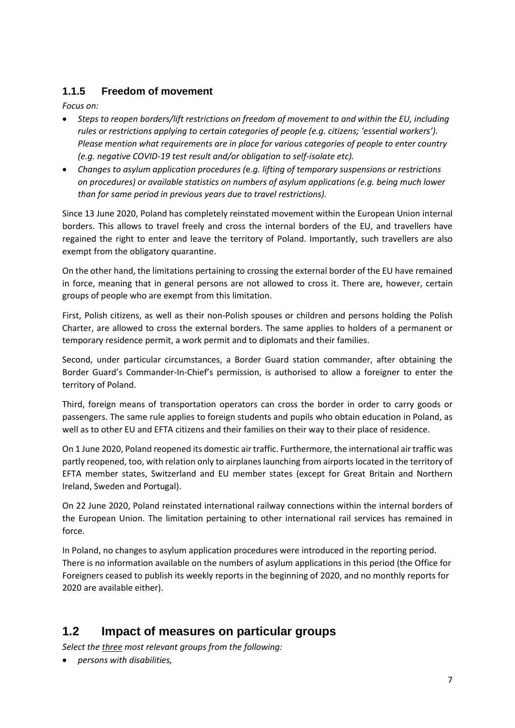#### **1.1.5 Freedom of movement**

*Focus on:* 

- *Steps to reopen borders/lift restrictions on freedom of movement to and within the EU, including rules or restrictions applying to certain categories of people (e.g. citizens; 'essential workers'). Please mention what requirements are in place for various categories of people to enter country (e.g. negative COVID-19 test result and/or obligation to self-isolate etc).*
- *Changes to asylum application procedures (*e.*g. lifting of temporary suspensions or restrictions on procedures) or available statistics on numbers of asylum applications (e.g. being much lower than for same period in previous years due to travel restrictions).*

Since 13 June 2020, Poland has completely reinstated movement within the European Union internal borders. This allows to travel freely and cross the internal borders of the EU, and travellers have regained the right to enter and leave the territory of Poland. Importantly, such travellers are also exempt from the obligatory quarantine.

On the other hand, the limitations pertaining to crossing the external border of the EU have remained in force, meaning that in general persons are not allowed to cross it. There are, however, certain groups of people who are exempt from this limitation.

First, Polish citizens, as well as their non-Polish spouses or children and persons holding the Polish Charter, are allowed to cross the external borders. The same applies to holders of a permanent or temporary residence permit, a work permit and to diplomats and their families.

Second, under particular circumstances, a Border Guard station commander, after obtaining the Border Guard's Commander-In-Chief's permission, is authorised to allow a foreigner to enter the territory of Poland.

Third, foreign means of transportation operators can cross the border in order to carry goods or passengers. The same rule applies to foreign students and pupils who obtain education in Poland, as well as to other EU and EFTA citizens and their families on their way to their place of residence.

On 1 June 2020, Poland reopened its domestic air traffic. Furthermore, the international air traffic was partly reopened, too, with relation only to airplanes launching from airports located in the territory of EFTA member states, Switzerland and EU member states (except for Great Britain and Northern Ireland, Sweden and Portugal).

On 22 June 2020, Poland reinstated international railway connections within the internal borders of the European Union. The limitation pertaining to other international rail services has remained in force.

In Poland, no changes to asylum application procedures were introduced in the reporting period. There is no information available on the numbers of asylum applications in this period (the Office for Foreigners ceased to publish its weekly reports in the beginning of 2020, and no monthly reports for 2020 are available either).

### **1.2 Impact of measures on particular groups**

*Select the three most relevant groups from the following:* 

*persons with disabilities,*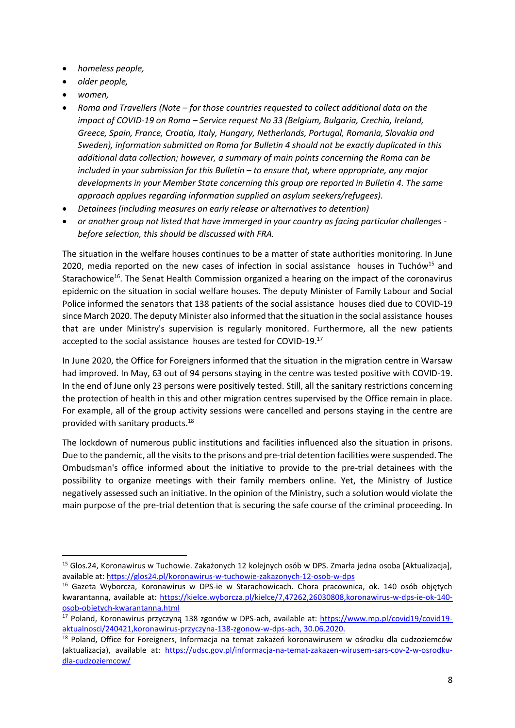- *homeless people,*
- *older people,*
- *women,*

1

- *Roma and Travellers (Note – for those countries requested to collect additional data on the impact of COVID-19 on Roma – Service request No 33 (Belgium, Bulgaria, Czechia, Ireland, Greece, Spain, France, Croatia, Italy, Hungary, Netherlands, Portugal, Romania, Slovakia and Sweden), information submitted on Roma for Bulletin 4 should not be exactly duplicated in this additional data collection; however, a summary of main points concerning the Roma can be included in your submission for this Bulletin – to ensure that, where appropriate, any major developments in your Member State concerning this group are reported in Bulletin 4. The same approach applues regarding information supplied on asylum seekers/refugees).*
- *Detainees (including measures on early release or alternatives to detention)*
- *or another group not listed that have immerged in your country as facing particular challenges before selection, this should be discussed with FRA.*

The situation in the welfare houses continues to be a matter of state authorities monitoring. In June 2020, media reported on the new cases of infection in social assistance houses in Tuchów<sup>15</sup> and Starachowice<sup>16</sup>. The Senat Health Commission organized a hearing on the impact of the coronavirus epidemic on the situation in social welfare houses. The deputy Minister of Family Labour and Social Police informed the senators that 138 patients of the social assistance houses died due to COVID-19 since March 2020. The deputy Minister also informed that the situation in the social assistance houses that are under Ministry's supervision is regularly monitored. Furthermore, all the new patients accepted to the social assistance houses are tested for COVID-19.<sup>17</sup>

In June 2020, the Office for Foreigners informed that the situation in the migration centre in Warsaw had improved. In May, 63 out of 94 persons staying in the centre was tested positive with COVID-19. In the end of June only 23 persons were positively tested. Still, all the sanitary restrictions concerning the protection of health in this and other migration centres supervised by the Office remain in place. For example, all of the group activity sessions were cancelled and persons staying in the centre are provided with sanitary products.<sup>18</sup>

The lockdown of numerous public institutions and facilities influenced also the situation in prisons. Due to the pandemic, all the visits to the prisons and pre-trial detention facilities were suspended. The Ombudsman's office informed about the initiative to provide to the pre-trial detainees with the possibility to organize meetings with their family members online. Yet, the Ministry of Justice negatively assessed such an initiative. In the opinion of the Ministry, such a solution would violate the main purpose of the pre-trial detention that is securing the safe course of the criminal proceeding. In

<sup>15</sup> Glos.24, Koronawirus w Tuchowie. Zakażonych 12 kolejnych osób w DPS. Zmarła jedna osoba [Aktualizacja], available at:<https://glos24.pl/koronawirus-w-tuchowie-zakazonych-12-osob-w-dps>

<sup>&</sup>lt;sup>16</sup> Gazeta Wyborcza, Koronawirus w DPS-ie w Starachowicach. Chora pracownica, ok. 140 osób objętych kwarantanną, available at: [https://kielce.wyborcza.pl/kielce/7,47262,26030808,koronawirus-w-dps-ie-ok-140](https://kielce.wyborcza.pl/kielce/7,47262,26030808,koronawirus-w-dps-ie-ok-140-osob-objetych-kwarantanna.html) [osob-objetych-kwarantanna.html](https://kielce.wyborcza.pl/kielce/7,47262,26030808,koronawirus-w-dps-ie-ok-140-osob-objetych-kwarantanna.html)

<sup>17</sup> Poland, Koronawirus przyczyną 138 zgonów w DPS-ach, available at: [https://www.mp.pl/covid19/covid19](https://www.mp.pl/covid19/covid19-aktualnosci/240421,koronawirus-przyczyna-138-zgonow-w-dps-ach) [aktualnosci/240421,koronawirus-przyczyna-138-zgonow-w-dps-ach,](https://www.mp.pl/covid19/covid19-aktualnosci/240421,koronawirus-przyczyna-138-zgonow-w-dps-ach) 30.06.2020.

<sup>&</sup>lt;sup>18</sup> Poland, Office for Foreigners, Informacja na temat zakażeń koronawirusem w ośrodku dla cudzoziemców (aktualizacja), available at: [https://udsc.gov.pl/informacja-na-temat-zakazen-wirusem-sars-cov-2-w-osrodku](https://udsc.gov.pl/informacja-na-temat-zakazen-wirusem-sars-cov-2-w-osrodku-dla-cudzoziemcow/)[dla-cudzoziemcow/](https://udsc.gov.pl/informacja-na-temat-zakazen-wirusem-sars-cov-2-w-osrodku-dla-cudzoziemcow/)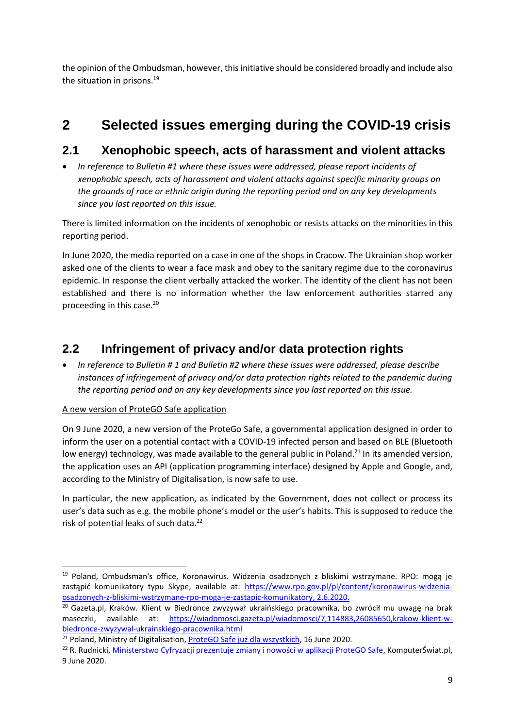the opinion of the Ombudsman, however, this initiative should be considered broadly and include also the situation in prisons.<sup>19</sup>

## **2 Selected issues emerging during the COVID-19 crisis**

### **2.1 Xenophobic speech, acts of harassment and violent attacks**

 *In reference to Bulletin #1 where these issues were addressed, please report incidents of xenophobic speech, acts of harassment and violent attacks against specific minority groups on the grounds of race or ethnic origin during the reporting period and on any key developments since you last reported on this issue.*

There is limited information on the incidents of xenophobic or resists attacks on the minorities in this reporting period.

In June 2020, the media reported on a case in one of the shops in Cracow. The Ukrainian shop worker asked one of the clients to wear a face mask and obey to the sanitary regime due to the coronavirus epidemic. In response the client verbally attacked the worker. The identity of the client has not been established and there is no information whether the law enforcement authorities starred any proceeding in this case.<sup>20</sup>

## **2.2 Infringement of privacy and/or data protection rights**

 *In reference to Bulletin # 1 and Bulletin #2 where these issues were addressed, please describe instances of infringement of privacy and/or data protection rights related to the pandemic during the reporting period and on any key developments since you last reported on this issue.*

#### A new version of ProteGO Safe application

 $\overline{\phantom{a}}$ 

On 9 June 2020, a new version of the ProteGo Safe, a governmental application designed in order to inform the user on a potential contact with a COVID-19 infected person and based on BLE (Bluetooth low energy) technology, was made available to the general public in Poland.<sup>21</sup> In its amended version, the application uses an API (application programming interface) designed by Apple and Google, and, according to the Ministry of Digitalisation, is now safe to use.

In particular, the new application, as indicated by the Government, does not collect or process its user's data such as e.g. the mobile phone's model or the user's habits. This is supposed to reduce the risk of potential leaks of such data.<sup>22</sup>

<sup>&</sup>lt;sup>19</sup> Poland, Ombudsman's office, Koronawirus. Widzenia osadzonych z bliskimi wstrzymane. RPO: mogą je zastąpić komunikatory typu Skype, available at: [https://www.rpo.gov.pl/pl/content/koronawirus-widzenia](https://www.rpo.gov.pl/pl/content/koronawirus-widzenia-osadzonych-z-bliskimi-wstrzymane-rpo-moga-je-zastapic-komunikatory)[osadzonych-z-bliskimi-wstrzymane-rpo-moga-je-zastapic-komunikatory,](https://www.rpo.gov.pl/pl/content/koronawirus-widzenia-osadzonych-z-bliskimi-wstrzymane-rpo-moga-je-zastapic-komunikatory) 2.6.2020.

<sup>20</sup> Gazeta.pl, Kraków. Klient w Biedronce zwyzywał ukraińskiego pracownika, bo zwrócił mu uwagę na brak maseczki, available at: [https://wiadomosci.gazeta.pl/wiadomosci/7,114883,26085650,krakow-klient-w](https://wiadomosci.gazeta.pl/wiadomosci/7,114883,26085650,krakow-klient-w-biedronce-zwyzywal-ukrainskiego-pracownika.html)[biedronce-zwyzywal-ukrainskiego-pracownika.html](https://wiadomosci.gazeta.pl/wiadomosci/7,114883,26085650,krakow-klient-w-biedronce-zwyzywal-ukrainskiego-pracownika.html)

<sup>&</sup>lt;sup>21</sup> Poland, Ministry of Digitalisation, [ProteGO Safe już dla wszystkich](https://www.gov.pl/web/cyfryzacja/protego-safe-juz-dla-wszystkich), 16 June 2020.

<sup>&</sup>lt;sup>22</sup> R. Rudnicki, Ministerstwo Cyfryzacji prezentuje [zmiany i nowości w aplikacji ProteGO Safe,](https://www.komputerswiat.pl/artykuly/redakcyjne/ministerstwo-cyfryzacji-prezentuje-zmiany-i-nowosci-w-aplikacji-protego-safe/0f1nreb?utm_source=panoptykon.org_viasg_komputerswiat&utm_medium=referal&utm_campaign=leo_automatic&srcc=ucs&utm_v=2) KomputerŚwiat.pl, 9 June 2020.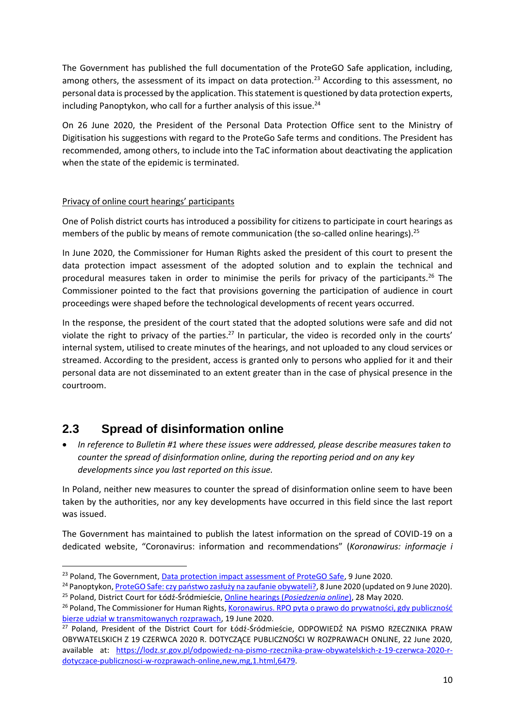The Government has published the full documentation of the ProteGO Safe application, including, among others, the assessment of its impact on data protection.<sup>23</sup> According to this assessment, no personal data is processed by the application. This statement is questioned by data protection experts, including Panoptykon, who call for a further analysis of this issue. $24$ 

On 26 June 2020, the President of the Personal Data Protection Office sent to the Ministry of Digitisation his suggestions with regard to the ProteGo Safe terms and conditions. The President has recommended, among others, to include into the TaC information about deactivating the application when the state of the epidemic is terminated.

#### Privacy of online court hearings' participants

One of Polish district courts has introduced a possibility for citizens to participate in court hearings as members of the public by means of remote communication (the so-called online hearings).<sup>25</sup>

In June 2020, the Commissioner for Human Rights asked the president of this court to present the data protection impact assessment of the adopted solution and to explain the technical and procedural measures taken in order to minimise the perils for privacy of the participants.<sup>26</sup> The Commissioner pointed to the fact that provisions governing the participation of audience in court proceedings were shaped before the technological developments of recent years occurred.

In the response, the president of the court stated that the adopted solutions were safe and did not violate the right to privacy of the parties.<sup>27</sup> In particular, the video is recorded only in the courts' internal system, utilised to create minutes of the hearings, and not uploaded to any cloud services or streamed. According to the president, access is granted only to persons who applied for it and their personal data are not disseminated to an extent greater than in the case of physical presence in the courtroom.

## **2.3 Spread of disinformation online**

 $\overline{\phantom{a}}$ 

 *In reference to Bulletin #1 where these issues were addressed, please describe measures taken to counter the spread of disinformation online, during the reporting period and on any key developments since you last reported on this issue.*

In Poland, neither new measures to counter the spread of disinformation online seem to have been taken by the authorities, nor any key developments have occurred in this field since the last report was issued.

The Government has maintained to publish the latest information on the spread of COVID-19 on a dedicated website, "Coronavirus: information and recommendations" (*Koronawirus: informacje i* 

<sup>&</sup>lt;sup>23</sup> Poland, The Government, [Data protection impact assessment of ProteGO Safe,](https://www.gov.pl/attachment/748bd66d-2345-4644-927b-299227ae74a3) 9 June 2020.

<sup>&</sup>lt;sup>24</sup> Panoptykon, [ProteGO Safe: czy państwo zasłuży na zaufanie obywateli?](https://panoptykon.org/wiadomosc/protego-safe-czy-panstwo-zasluzy-na-zaufanie-obywateli), 8 June 2020 (updated on 9 June 2020). <sup>25</sup> Poland, District Court for Łódź-Śródmieście, Online hearings (*[Posiedzenia online](https://lodz.sr.gov.pl/posiedzenia-online,m,mg,346)*), 28 May 2020.

<sup>&</sup>lt;sup>26</sup> Poland, The Commissioner for Human Rights, Koronawirus. RPO pyta o prawo do prywatności, gdy publiczność [bierze udział w transmitowanych rozprawach](https://www.rpo.gov.pl/pl/content/koronawirus-rpo-pyta-o-prawo-do-prywatnosci-gdy-publicznosc-uczestniczy-w-transmitowanych-sprawach), 19 June 2020.

<sup>&</sup>lt;sup>27</sup> Poland, President of the District Court for Łódź-Śródmieście, ODPOWIEDŹ NA PISMO RZECZNIKA PRAW OBYWATELSKICH Z 19 CZERWCA 2020 R. DOTYCZĄCE PUBLICZNOŚCI W ROZPRAWACH ONLINE, 22 June 2020, available at: [https://lodz.sr.gov.pl/odpowiedz-na-pismo-rzecznika-praw-obywatelskich-z-19-czerwca-2020-r](https://lodz.sr.gov.pl/odpowiedz-na-pismo-rzecznika-praw-obywatelskich-z-19-czerwca-2020-r-dotyczace-publicznosci-w-rozprawach-online,new,mg,1.html,6479)[dotyczace-publicznosci-w-rozprawach-online,new,mg,1.html,6479.](https://lodz.sr.gov.pl/odpowiedz-na-pismo-rzecznika-praw-obywatelskich-z-19-czerwca-2020-r-dotyczace-publicznosci-w-rozprawach-online,new,mg,1.html,6479)